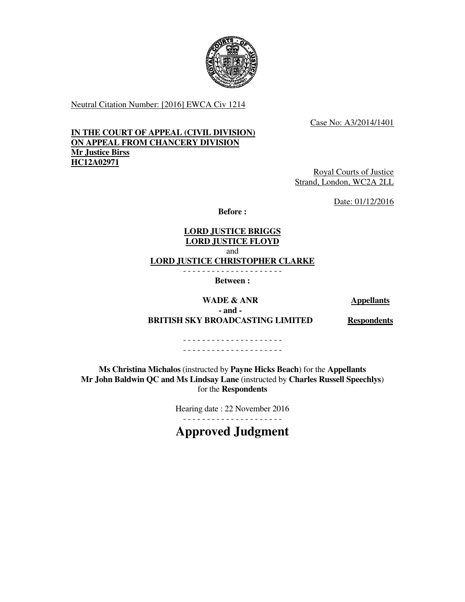

Neutral Citation Number: [2016] EWCA Civ 1214

Case No: A3/2014/1401

### **IN THE COURT OF APPEAL (CIVIL DIVISION) ON APPEAL FROM CHANCERY DIVISION Mr Justice Birss HC12A02971**

Royal Courts of Justice Strand, London, WC2A 2LL

Date: 01/12/2016

**Before :** 

### **LORD JUSTICE BRIGGS LORD JUSTICE FLOYD** and **LORD JUSTICE CHRISTOPHER CLARKE** - - - - - - - - - - - - - - - - - - - - -

**Between :** 

**WADE & ANR** Appellants

**- and - BRITISH SKY BROADCASTING LIMITED Respondents** 

- - - - - - - - - - - - - - - - - - - - - - - - - - - - - - - - - - - - - - - - - -

**Ms Christina Michalos** (instructed by **Payne Hicks Beach**) for the **Appellants Mr John Baldwin QC and Ms Lindsay Lane** (instructed by **Charles Russell Speechlys**) for the **Respondents**

> Hearing date : 22 November 2016 - - - - - - - - - - - - - - - - - - - - -

> **Approved Judgment**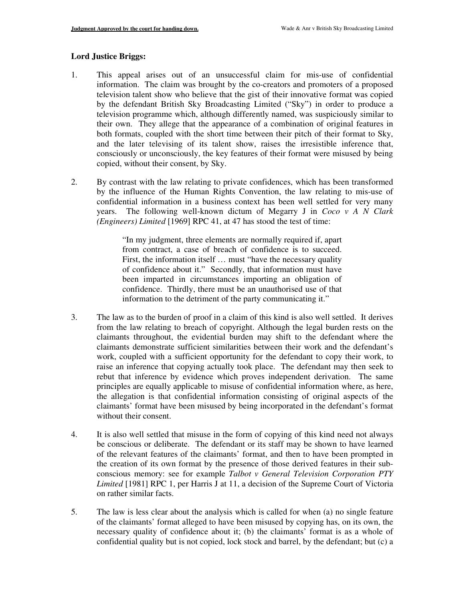#### **Lord Justice Briggs:**

- 1. This appeal arises out of an unsuccessful claim for mis-use of confidential information. The claim was brought by the co-creators and promoters of a proposed television talent show who believe that the gist of their innovative format was copied by the defendant British Sky Broadcasting Limited ("Sky") in order to produce a television programme which, although differently named, was suspiciously similar to their own. They allege that the appearance of a combination of original features in both formats, coupled with the short time between their pitch of their format to Sky, and the later televising of its talent show, raises the irresistible inference that, consciously or unconsciously, the key features of their format were misused by being copied, without their consent, by Sky.
- 2. By contrast with the law relating to private confidences, which has been transformed by the influence of the Human Rights Convention, the law relating to mis-use of confidential information in a business context has been well settled for very many years. The following well-known dictum of Megarry J in *Coco v A N Clark (Engineers) Limited* [1969] RPC 41, at 47 has stood the test of time:

"In my judgment, three elements are normally required if, apart from contract, a case of breach of confidence is to succeed. First, the information itself … must "have the necessary quality of confidence about it." Secondly, that information must have been imparted in circumstances importing an obligation of confidence. Thirdly, there must be an unauthorised use of that information to the detriment of the party communicating it."

- 3. The law as to the burden of proof in a claim of this kind is also well settled. It derives from the law relating to breach of copyright. Although the legal burden rests on the claimants throughout, the evidential burden may shift to the defendant where the claimants demonstrate sufficient similarities between their work and the defendant's work, coupled with a sufficient opportunity for the defendant to copy their work, to raise an inference that copying actually took place. The defendant may then seek to rebut that inference by evidence which proves independent derivation. The same principles are equally applicable to misuse of confidential information where, as here, the allegation is that confidential information consisting of original aspects of the claimants' format have been misused by being incorporated in the defendant's format without their consent.
- 4. It is also well settled that misuse in the form of copying of this kind need not always be conscious or deliberate. The defendant or its staff may be shown to have learned of the relevant features of the claimants' format, and then to have been prompted in the creation of its own format by the presence of those derived features in their subconscious memory: see for example *Talbot v General Television Corporation PTY Limited* [1981] RPC 1, per Harris J at 11, a decision of the Supreme Court of Victoria on rather similar facts.
- 5. The law is less clear about the analysis which is called for when (a) no single feature of the claimants' format alleged to have been misused by copying has, on its own, the necessary quality of confidence about it; (b) the claimants' format is as a whole of confidential quality but is not copied, lock stock and barrel, by the defendant; but (c) a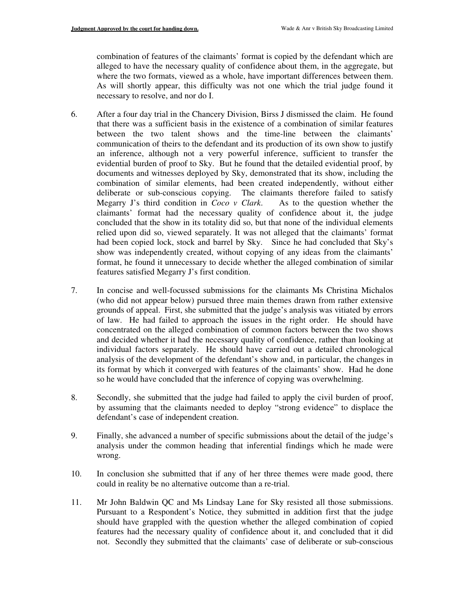combination of features of the claimants' format is copied by the defendant which are alleged to have the necessary quality of confidence about them, in the aggregate, but where the two formats, viewed as a whole, have important differences between them. As will shortly appear, this difficulty was not one which the trial judge found it necessary to resolve, and nor do I.

- 6. After a four day trial in the Chancery Division, Birss J dismissed the claim. He found that there was a sufficient basis in the existence of a combination of similar features between the two talent shows and the time-line between the claimants' communication of theirs to the defendant and its production of its own show to justify an inference, although not a very powerful inference, sufficient to transfer the evidential burden of proof to Sky. But he found that the detailed evidential proof, by documents and witnesses deployed by Sky, demonstrated that its show, including the combination of similar elements, had been created independently, without either deliberate or sub-conscious copying. The claimants therefore failed to satisfy Megarry J's third condition in *Coco v Clark*. As to the question whether the claimants' format had the necessary quality of confidence about it, the judge concluded that the show in its totality did so, but that none of the individual elements relied upon did so, viewed separately. It was not alleged that the claimants' format had been copied lock, stock and barrel by Sky. Since he had concluded that Sky's show was independently created, without copying of any ideas from the claimants' format, he found it unnecessary to decide whether the alleged combination of similar features satisfied Megarry J's first condition.
- 7. In concise and well-focussed submissions for the claimants Ms Christina Michalos (who did not appear below) pursued three main themes drawn from rather extensive grounds of appeal. First, she submitted that the judge's analysis was vitiated by errors of law. He had failed to approach the issues in the right order. He should have concentrated on the alleged combination of common factors between the two shows and decided whether it had the necessary quality of confidence, rather than looking at individual factors separately. He should have carried out a detailed chronological analysis of the development of the defendant's show and, in particular, the changes in its format by which it converged with features of the claimants' show. Had he done so he would have concluded that the inference of copying was overwhelming.
- 8. Secondly, she submitted that the judge had failed to apply the civil burden of proof, by assuming that the claimants needed to deploy "strong evidence" to displace the defendant's case of independent creation.
- 9. Finally, she advanced a number of specific submissions about the detail of the judge's analysis under the common heading that inferential findings which he made were wrong.
- 10. In conclusion she submitted that if any of her three themes were made good, there could in reality be no alternative outcome than a re-trial.
- 11. Mr John Baldwin QC and Ms Lindsay Lane for Sky resisted all those submissions. Pursuant to a Respondent's Notice, they submitted in addition first that the judge should have grappled with the question whether the alleged combination of copied features had the necessary quality of confidence about it, and concluded that it did not. Secondly they submitted that the claimants' case of deliberate or sub-conscious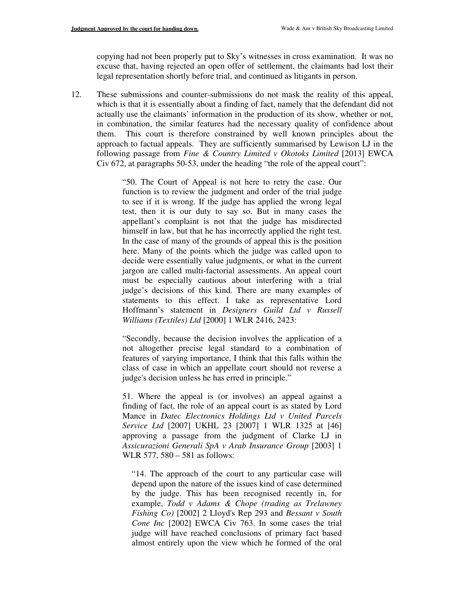copying had not been properly put to Sky's witnesses in cross examination. It was no excuse that, having rejected an open offer of settlement, the claimants had lost their legal representation shortly before trial, and continued as litigants in person.

12. These submissions and counter-submissions do not mask the reality of this appeal, which is that it is essentially about a finding of fact, namely that the defendant did not actually use the claimants' information in the production of its show, whether or not, in combination, the similar features had the necessary quality of confidence about them. This court is therefore constrained by well known principles about the approach to factual appeals. They are sufficiently summarised by Lewison LJ in the following passage from *Fine & Country Limited v Okotoks Limited* [2013] EWCA Civ 672, at paragraphs 50-53, under the heading "the role of the appeal court":

> "50. The Court of Appeal is not here to retry the case. Our function is to review the judgment and order of the trial judge to see if it is wrong. If the judge has applied the wrong legal test, then it is our duty to say so. But in many cases the appellant's complaint is not that the judge has misdirected himself in law, but that he has incorrectly applied the right test. In the case of many of the grounds of appeal this is the position here. Many of the points which the judge was called upon to decide were essentially value judgments, or what in the current jargon are called multi-factorial assessments. An appeal court must be especially cautious about interfering with a trial judge's decisions of this kind. There are many examples of statements to this effect. I take as representative Lord Hoffmann's statement in *Designers Guild Ltd v Russell Williams (Textiles) Ltd* [2000] 1 WLR 2416, 2423:

> "Secondly, because the decision involves the application of a not altogether precise legal standard to a combination of features of varying importance, I think that this falls within the class of case in which an appellate court should not reverse a judge's decision unless he has erred in principle."

> 51. Where the appeal is (or involves) an appeal against a finding of fact, the role of an appeal court is as stated by Lord Mance in *Datec Electronics Holdings Ltd v United Parcels Service Ltd* [2007] UKHL 23 [2007] 1 WLR 1325 at [46] approving a passage from the judgment of Clarke LJ in *Assicurazioni Generali SpA v Arab Insurance Group* [2003] 1 WLR 577, 580 – 581 as follows:

"14. The approach of the court to any particular case will depend upon the nature of the issues kind of case determined by the judge. This has been recognised recently in, for example, *Todd v Adams & Chope (trading as Trelawney Fishing Co)* [2002] 2 Lloyd's Rep 293 and *Bessant v South Cone Inc* [2002] EWCA Civ 763. In some cases the trial judge will have reached conclusions of primary fact based almost entirely upon the view which he formed of the oral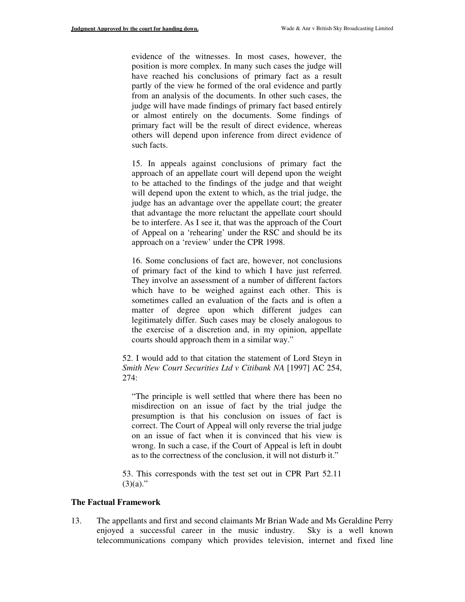evidence of the witnesses. In most cases, however, the position is more complex. In many such cases the judge will have reached his conclusions of primary fact as a result partly of the view he formed of the oral evidence and partly from an analysis of the documents. In other such cases, the judge will have made findings of primary fact based entirely or almost entirely on the documents. Some findings of primary fact will be the result of direct evidence, whereas others will depend upon inference from direct evidence of such facts.

15. In appeals against conclusions of primary fact the approach of an appellate court will depend upon the weight to be attached to the findings of the judge and that weight will depend upon the extent to which, as the trial judge, the judge has an advantage over the appellate court; the greater that advantage the more reluctant the appellate court should be to interfere. As I see it, that was the approach of the Court of Appeal on a 'rehearing' under the RSC and should be its approach on a 'review' under the CPR 1998.

16. Some conclusions of fact are, however, not conclusions of primary fact of the kind to which I have just referred. They involve an assessment of a number of different factors which have to be weighed against each other. This is sometimes called an evaluation of the facts and is often a matter of degree upon which different judges can legitimately differ. Such cases may be closely analogous to the exercise of a discretion and, in my opinion, appellate courts should approach them in a similar way."

52. I would add to that citation the statement of Lord Steyn in *Smith New Court Securities Ltd v Citibank NA* [1997] AC 254, 274:

"The principle is well settled that where there has been no misdirection on an issue of fact by the trial judge the presumption is that his conclusion on issues of fact is correct. The Court of Appeal will only reverse the trial judge on an issue of fact when it is convinced that his view is wrong. In such a case, if the Court of Appeal is left in doubt as to the correctness of the conclusion, it will not disturb it."

53. This corresponds with the test set out in CPR Part 52.11  $(3)(a)$ ."

#### **The Factual Framework**

13. The appellants and first and second claimants Mr Brian Wade and Ms Geraldine Perry enjoyed a successful career in the music industry. Sky is a well known telecommunications company which provides television, internet and fixed line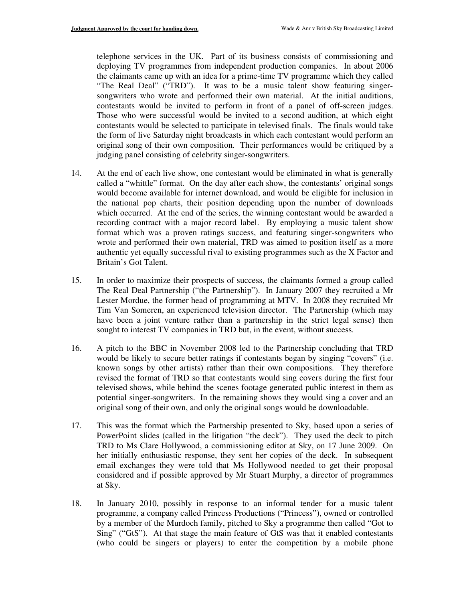telephone services in the UK. Part of its business consists of commissioning and deploying TV programmes from independent production companies. In about 2006 the claimants came up with an idea for a prime-time TV programme which they called "The Real Deal" ("TRD"). It was to be a music talent show featuring singersongwriters who wrote and performed their own material. At the initial auditions, contestants would be invited to perform in front of a panel of off-screen judges. Those who were successful would be invited to a second audition, at which eight contestants would be selected to participate in televised finals. The finals would take the form of live Saturday night broadcasts in which each contestant would perform an original song of their own composition. Their performances would be critiqued by a judging panel consisting of celebrity singer-songwriters.

- 14. At the end of each live show, one contestant would be eliminated in what is generally called a "whittle" format. On the day after each show, the contestants' original songs would become available for internet download, and would be eligible for inclusion in the national pop charts, their position depending upon the number of downloads which occurred. At the end of the series, the winning contestant would be awarded a recording contract with a major record label. By employing a music talent show format which was a proven ratings success, and featuring singer-songwriters who wrote and performed their own material, TRD was aimed to position itself as a more authentic yet equally successful rival to existing programmes such as the X Factor and Britain's Got Talent.
- 15. In order to maximize their prospects of success, the claimants formed a group called The Real Deal Partnership ("the Partnership"). In January 2007 they recruited a Mr Lester Mordue, the former head of programming at MTV. In 2008 they recruited Mr Tim Van Someren, an experienced television director. The Partnership (which may have been a joint venture rather than a partnership in the strict legal sense) then sought to interest TV companies in TRD but, in the event, without success.
- 16. A pitch to the BBC in November 2008 led to the Partnership concluding that TRD would be likely to secure better ratings if contestants began by singing "covers" (i.e. known songs by other artists) rather than their own compositions. They therefore revised the format of TRD so that contestants would sing covers during the first four televised shows, while behind the scenes footage generated public interest in them as potential singer-songwriters. In the remaining shows they would sing a cover and an original song of their own, and only the original songs would be downloadable.
- 17. This was the format which the Partnership presented to Sky, based upon a series of PowerPoint slides (called in the litigation "the deck"). They used the deck to pitch TRD to Ms Clare Hollywood, a commissioning editor at Sky, on 17 June 2009. On her initially enthusiastic response, they sent her copies of the deck. In subsequent email exchanges they were told that Ms Hollywood needed to get their proposal considered and if possible approved by Mr Stuart Murphy, a director of programmes at Sky.
- 18. In January 2010, possibly in response to an informal tender for a music talent programme, a company called Princess Productions ("Princess"), owned or controlled by a member of the Murdoch family, pitched to Sky a programme then called "Got to Sing" ("GtS"). At that stage the main feature of GtS was that it enabled contestants (who could be singers or players) to enter the competition by a mobile phone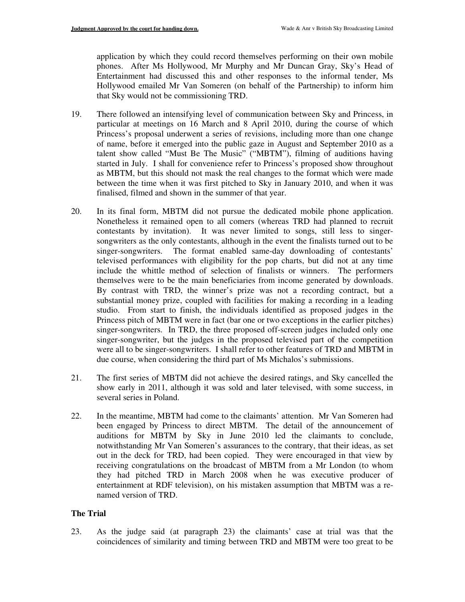application by which they could record themselves performing on their own mobile phones. After Ms Hollywood, Mr Murphy and Mr Duncan Gray, Sky's Head of Entertainment had discussed this and other responses to the informal tender, Ms Hollywood emailed Mr Van Someren (on behalf of the Partnership) to inform him that Sky would not be commissioning TRD.

- 19. There followed an intensifying level of communication between Sky and Princess, in particular at meetings on 16 March and 8 April 2010, during the course of which Princess's proposal underwent a series of revisions, including more than one change of name, before it emerged into the public gaze in August and September 2010 as a talent show called "Must Be The Music" ("MBTM"), filming of auditions having started in July. I shall for convenience refer to Princess's proposed show throughout as MBTM, but this should not mask the real changes to the format which were made between the time when it was first pitched to Sky in January 2010, and when it was finalised, filmed and shown in the summer of that year.
- 20. In its final form, MBTM did not pursue the dedicated mobile phone application. Nonetheless it remained open to all comers (whereas TRD had planned to recruit contestants by invitation). It was never limited to songs, still less to singersongwriters as the only contestants, although in the event the finalists turned out to be singer-songwriters. The format enabled same-day downloading of contestants' televised performances with eligibility for the pop charts, but did not at any time include the whittle method of selection of finalists or winners. The performers themselves were to be the main beneficiaries from income generated by downloads. By contrast with TRD, the winner's prize was not a recording contract, but a substantial money prize, coupled with facilities for making a recording in a leading studio. From start to finish, the individuals identified as proposed judges in the Princess pitch of MBTM were in fact (bar one or two exceptions in the earlier pitches) singer-songwriters. In TRD, the three proposed off-screen judges included only one singer-songwriter, but the judges in the proposed televised part of the competition were all to be singer-songwriters. I shall refer to other features of TRD and MBTM in due course, when considering the third part of Ms Michalos's submissions.
- 21. The first series of MBTM did not achieve the desired ratings, and Sky cancelled the show early in 2011, although it was sold and later televised, with some success, in several series in Poland.
- 22. In the meantime, MBTM had come to the claimants' attention. Mr Van Someren had been engaged by Princess to direct MBTM. The detail of the announcement of auditions for MBTM by Sky in June 2010 led the claimants to conclude, notwithstanding Mr Van Someren's assurances to the contrary, that their ideas, as set out in the deck for TRD, had been copied. They were encouraged in that view by receiving congratulations on the broadcast of MBTM from a Mr London (to whom they had pitched TRD in March 2008 when he was executive producer of entertainment at RDF television), on his mistaken assumption that MBTM was a renamed version of TRD.

# **The Trial**

23. As the judge said (at paragraph 23) the claimants' case at trial was that the coincidences of similarity and timing between TRD and MBTM were too great to be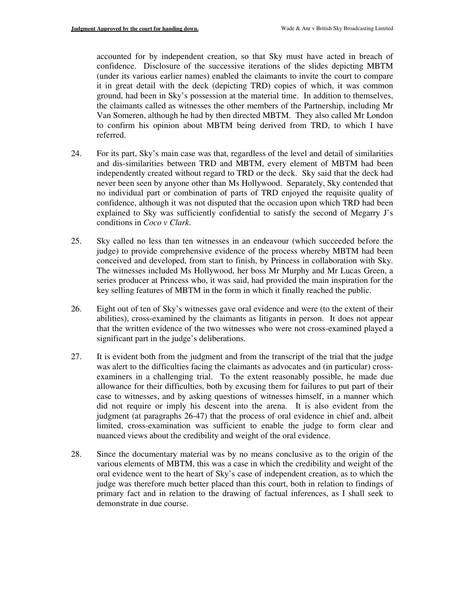accounted for by independent creation, so that Sky must have acted in breach of confidence. Disclosure of the successive iterations of the slides depicting MBTM (under its various earlier names) enabled the claimants to invite the court to compare it in great detail with the deck (depicting TRD) copies of which, it was common ground, had been in Sky's possession at the material time. In addition to themselves, the claimants called as witnesses the other members of the Partnership, including Mr Van Someren, although he had by then directed MBTM. They also called Mr London to confirm his opinion about MBTM being derived from TRD, to which I have referred.

- 24. For its part, Sky's main case was that, regardless of the level and detail of similarities and dis-similarities between TRD and MBTM, every element of MBTM had been independently created without regard to TRD or the deck. Sky said that the deck had never been seen by anyone other than Ms Hollywood. Separately, Sky contended that no individual part or combination of parts of TRD enjoyed the requisite quality of confidence, although it was not disputed that the occasion upon which TRD had been explained to Sky was sufficiently confidential to satisfy the second of Megarry J's conditions in *Coco v Clark*.
- 25. Sky called no less than ten witnesses in an endeavour (which succeeded before the judge) to provide comprehensive evidence of the process whereby MBTM had been conceived and developed, from start to finish, by Princess in collaboration with Sky. The witnesses included Ms Hollywood, her boss Mr Murphy and Mr Lucas Green, a series producer at Princess who, it was said, had provided the main inspiration for the key selling features of MBTM in the form in which it finally reached the public.
- 26. Eight out of ten of Sky's witnesses gave oral evidence and were (to the extent of their abilities), cross-examined by the claimants as litigants in person. It does not appear that the written evidence of the two witnesses who were not cross-examined played a significant part in the judge's deliberations.
- 27. It is evident both from the judgment and from the transcript of the trial that the judge was alert to the difficulties facing the claimants as advocates and (in particular) crossexaminers in a challenging trial. To the extent reasonably possible, he made due allowance for their difficulties, both by excusing them for failures to put part of their case to witnesses, and by asking questions of witnesses himself, in a manner which did not require or imply his descent into the arena. It is also evident from the judgment (at paragraphs 26-47) that the process of oral evidence in chief and, albeit limited, cross-examination was sufficient to enable the judge to form clear and nuanced views about the credibility and weight of the oral evidence.
- 28. Since the documentary material was by no means conclusive as to the origin of the various elements of MBTM, this was a case in which the credibility and weight of the oral evidence went to the heart of Sky's case of independent creation, as to which the judge was therefore much better placed than this court, both in relation to findings of primary fact and in relation to the drawing of factual inferences, as I shall seek to demonstrate in due course.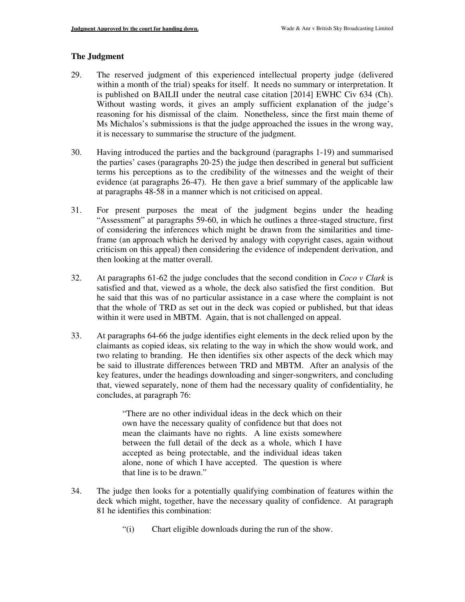### **The Judgment**

- 29. The reserved judgment of this experienced intellectual property judge (delivered within a month of the trial) speaks for itself. It needs no summary or interpretation. It is published on BAILII under the neutral case citation [2014] EWHC Civ 634 (Ch). Without wasting words, it gives an amply sufficient explanation of the judge's reasoning for his dismissal of the claim. Nonetheless, since the first main theme of Ms Michalos's submissions is that the judge approached the issues in the wrong way, it is necessary to summarise the structure of the judgment.
- 30. Having introduced the parties and the background (paragraphs 1-19) and summarised the parties' cases (paragraphs 20-25) the judge then described in general but sufficient terms his perceptions as to the credibility of the witnesses and the weight of their evidence (at paragraphs 26-47). He then gave a brief summary of the applicable law at paragraphs 48-58 in a manner which is not criticised on appeal.
- 31. For present purposes the meat of the judgment begins under the heading "Assessment" at paragraphs 59-60, in which he outlines a three-staged structure, first of considering the inferences which might be drawn from the similarities and timeframe (an approach which he derived by analogy with copyright cases, again without criticism on this appeal) then considering the evidence of independent derivation, and then looking at the matter overall.
- 32. At paragraphs 61-62 the judge concludes that the second condition in *Coco v Clark* is satisfied and that, viewed as a whole, the deck also satisfied the first condition. But he said that this was of no particular assistance in a case where the complaint is not that the whole of TRD as set out in the deck was copied or published, but that ideas within it were used in MBTM. Again, that is not challenged on appeal.
- 33. At paragraphs 64-66 the judge identifies eight elements in the deck relied upon by the claimants as copied ideas, six relating to the way in which the show would work, and two relating to branding. He then identifies six other aspects of the deck which may be said to illustrate differences between TRD and MBTM. After an analysis of the key features, under the headings downloading and singer-songwriters, and concluding that, viewed separately, none of them had the necessary quality of confidentiality, he concludes, at paragraph 76:

"There are no other individual ideas in the deck which on their own have the necessary quality of confidence but that does not mean the claimants have no rights. A line exists somewhere between the full detail of the deck as a whole, which I have accepted as being protectable, and the individual ideas taken alone, none of which I have accepted. The question is where that line is to be drawn."

- 34. The judge then looks for a potentially qualifying combination of features within the deck which might, together, have the necessary quality of confidence. At paragraph 81 he identifies this combination:
	- "(i) Chart eligible downloads during the run of the show.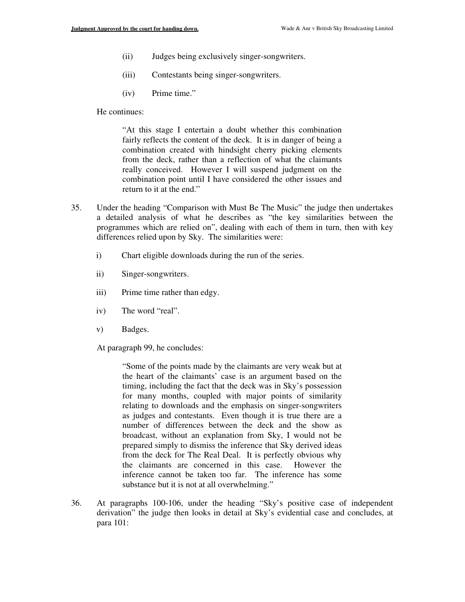- (ii) Judges being exclusively singer-songwriters.
- (iii) Contestants being singer-songwriters.
- (iv) Prime time."

He continues:

"At this stage I entertain a doubt whether this combination fairly reflects the content of the deck. It is in danger of being a combination created with hindsight cherry picking elements from the deck, rather than a reflection of what the claimants really conceived. However I will suspend judgment on the combination point until I have considered the other issues and return to it at the end."

- 35. Under the heading "Comparison with Must Be The Music" the judge then undertakes a detailed analysis of what he describes as "the key similarities between the programmes which are relied on", dealing with each of them in turn, then with key differences relied upon by Sky. The similarities were:
	- i) Chart eligible downloads during the run of the series.
	- ii) Singer-songwriters.
	- iii) Prime time rather than edgy.
	- iv) The word "real".
	- v) Badges.

At paragraph 99, he concludes:

"Some of the points made by the claimants are very weak but at the heart of the claimants' case is an argument based on the timing, including the fact that the deck was in Sky's possession for many months, coupled with major points of similarity relating to downloads and the emphasis on singer-songwriters as judges and contestants. Even though it is true there are a number of differences between the deck and the show as broadcast, without an explanation from Sky, I would not be prepared simply to dismiss the inference that Sky derived ideas from the deck for The Real Deal. It is perfectly obvious why the claimants are concerned in this case. However the inference cannot be taken too far. The inference has some substance but it is not at all overwhelming."

36. At paragraphs 100-106, under the heading "Sky's positive case of independent derivation" the judge then looks in detail at Sky's evidential case and concludes, at para 101: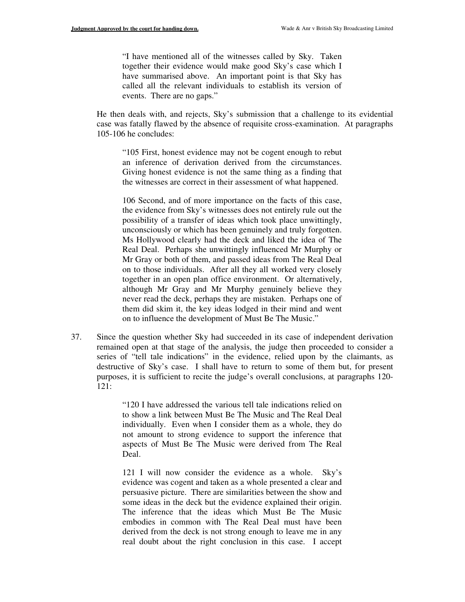"I have mentioned all of the witnesses called by Sky. Taken together their evidence would make good Sky's case which I have summarised above. An important point is that Sky has called all the relevant individuals to establish its version of events. There are no gaps."

He then deals with, and rejects, Sky's submission that a challenge to its evidential case was fatally flawed by the absence of requisite cross-examination. At paragraphs 105-106 he concludes:

"105 First, honest evidence may not be cogent enough to rebut an inference of derivation derived from the circumstances. Giving honest evidence is not the same thing as a finding that the witnesses are correct in their assessment of what happened.

106 Second, and of more importance on the facts of this case, the evidence from Sky's witnesses does not entirely rule out the possibility of a transfer of ideas which took place unwittingly, unconsciously or which has been genuinely and truly forgotten. Ms Hollywood clearly had the deck and liked the idea of The Real Deal. Perhaps she unwittingly influenced Mr Murphy or Mr Gray or both of them, and passed ideas from The Real Deal on to those individuals. After all they all worked very closely together in an open plan office environment. Or alternatively, although Mr Gray and Mr Murphy genuinely believe they never read the deck, perhaps they are mistaken. Perhaps one of them did skim it, the key ideas lodged in their mind and went on to influence the development of Must Be The Music."

37. Since the question whether Sky had succeeded in its case of independent derivation remained open at that stage of the analysis, the judge then proceeded to consider a series of "tell tale indications" in the evidence, relied upon by the claimants, as destructive of Sky's case. I shall have to return to some of them but, for present purposes, it is sufficient to recite the judge's overall conclusions, at paragraphs 120- 121:

> "120 I have addressed the various tell tale indications relied on to show a link between Must Be The Music and The Real Deal individually. Even when I consider them as a whole, they do not amount to strong evidence to support the inference that aspects of Must Be The Music were derived from The Real Deal.

> 121 I will now consider the evidence as a whole. Sky's evidence was cogent and taken as a whole presented a clear and persuasive picture. There are similarities between the show and some ideas in the deck but the evidence explained their origin. The inference that the ideas which Must Be The Music embodies in common with The Real Deal must have been derived from the deck is not strong enough to leave me in any real doubt about the right conclusion in this case. I accept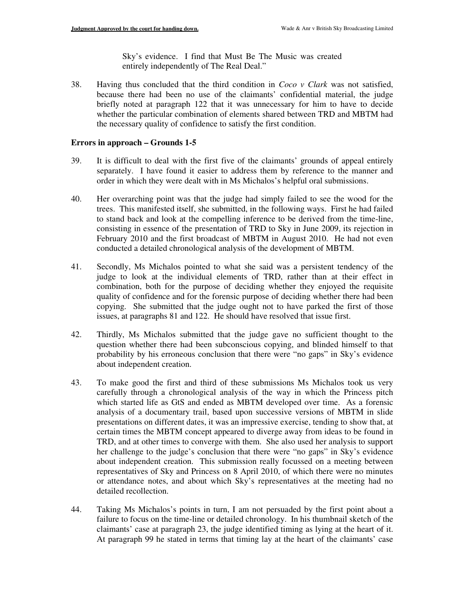Sky's evidence. I find that Must Be The Music was created entirely independently of The Real Deal."

38. Having thus concluded that the third condition in *Coco v Clark* was not satisfied, because there had been no use of the claimants' confidential material, the judge briefly noted at paragraph 122 that it was unnecessary for him to have to decide whether the particular combination of elements shared between TRD and MBTM had the necessary quality of confidence to satisfy the first condition.

### **Errors in approach – Grounds 1-5**

- 39. It is difficult to deal with the first five of the claimants' grounds of appeal entirely separately. I have found it easier to address them by reference to the manner and order in which they were dealt with in Ms Michalos's helpful oral submissions.
- 40. Her overarching point was that the judge had simply failed to see the wood for the trees. This manifested itself, she submitted, in the following ways. First he had failed to stand back and look at the compelling inference to be derived from the time-line, consisting in essence of the presentation of TRD to Sky in June 2009, its rejection in February 2010 and the first broadcast of MBTM in August 2010. He had not even conducted a detailed chronological analysis of the development of MBTM.
- 41. Secondly, Ms Michalos pointed to what she said was a persistent tendency of the judge to look at the individual elements of TRD, rather than at their effect in combination, both for the purpose of deciding whether they enjoyed the requisite quality of confidence and for the forensic purpose of deciding whether there had been copying. She submitted that the judge ought not to have parked the first of those issues, at paragraphs 81 and 122. He should have resolved that issue first.
- 42. Thirdly, Ms Michalos submitted that the judge gave no sufficient thought to the question whether there had been subconscious copying, and blinded himself to that probability by his erroneous conclusion that there were "no gaps" in Sky's evidence about independent creation.
- 43. To make good the first and third of these submissions Ms Michalos took us very carefully through a chronological analysis of the way in which the Princess pitch which started life as GtS and ended as MBTM developed over time. As a forensic analysis of a documentary trail, based upon successive versions of MBTM in slide presentations on different dates, it was an impressive exercise, tending to show that, at certain times the MBTM concept appeared to diverge away from ideas to be found in TRD, and at other times to converge with them. She also used her analysis to support her challenge to the judge's conclusion that there were "no gaps" in Sky's evidence about independent creation. This submission really focussed on a meeting between representatives of Sky and Princess on 8 April 2010, of which there were no minutes or attendance notes, and about which Sky's representatives at the meeting had no detailed recollection.
- 44. Taking Ms Michalos's points in turn, I am not persuaded by the first point about a failure to focus on the time-line or detailed chronology. In his thumbnail sketch of the claimants' case at paragraph 23, the judge identified timing as lying at the heart of it. At paragraph 99 he stated in terms that timing lay at the heart of the claimants' case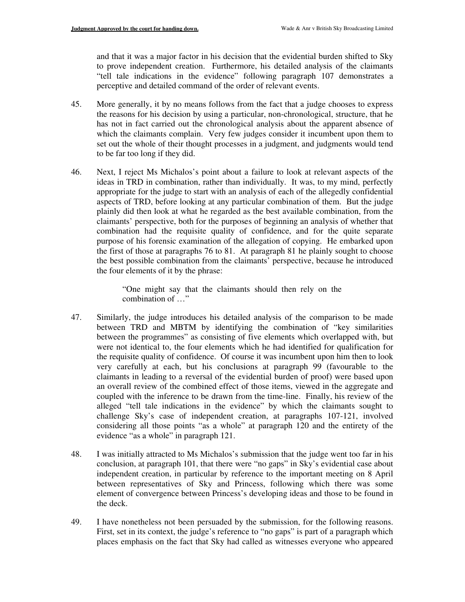and that it was a major factor in his decision that the evidential burden shifted to Sky to prove independent creation. Furthermore, his detailed analysis of the claimants "tell tale indications in the evidence" following paragraph 107 demonstrates a perceptive and detailed command of the order of relevant events.

- 45. More generally, it by no means follows from the fact that a judge chooses to express the reasons for his decision by using a particular, non-chronological, structure, that he has not in fact carried out the chronological analysis about the apparent absence of which the claimants complain. Very few judges consider it incumbent upon them to set out the whole of their thought processes in a judgment, and judgments would tend to be far too long if they did.
- 46. Next, I reject Ms Michalos's point about a failure to look at relevant aspects of the ideas in TRD in combination, rather than individually. It was, to my mind, perfectly appropriate for the judge to start with an analysis of each of the allegedly confidential aspects of TRD, before looking at any particular combination of them. But the judge plainly did then look at what he regarded as the best available combination, from the claimants' perspective, both for the purposes of beginning an analysis of whether that combination had the requisite quality of confidence, and for the quite separate purpose of his forensic examination of the allegation of copying. He embarked upon the first of those at paragraphs 76 to 81. At paragraph 81 he plainly sought to choose the best possible combination from the claimants' perspective, because he introduced the four elements of it by the phrase:

"One might say that the claimants should then rely on the combination of …"

- 47. Similarly, the judge introduces his detailed analysis of the comparison to be made between TRD and MBTM by identifying the combination of "key similarities between the programmes" as consisting of five elements which overlapped with, but were not identical to, the four elements which he had identified for qualification for the requisite quality of confidence. Of course it was incumbent upon him then to look very carefully at each, but his conclusions at paragraph 99 (favourable to the claimants in leading to a reversal of the evidential burden of proof) were based upon an overall review of the combined effect of those items, viewed in the aggregate and coupled with the inference to be drawn from the time-line. Finally, his review of the alleged "tell tale indications in the evidence" by which the claimants sought to challenge Sky's case of independent creation, at paragraphs 107-121, involved considering all those points "as a whole" at paragraph 120 and the entirety of the evidence "as a whole" in paragraph 121.
- 48. I was initially attracted to Ms Michalos's submission that the judge went too far in his conclusion, at paragraph 101, that there were "no gaps" in Sky's evidential case about independent creation, in particular by reference to the important meeting on 8 April between representatives of Sky and Princess, following which there was some element of convergence between Princess's developing ideas and those to be found in the deck.
- 49. I have nonetheless not been persuaded by the submission, for the following reasons. First, set in its context, the judge's reference to "no gaps" is part of a paragraph which places emphasis on the fact that Sky had called as witnesses everyone who appeared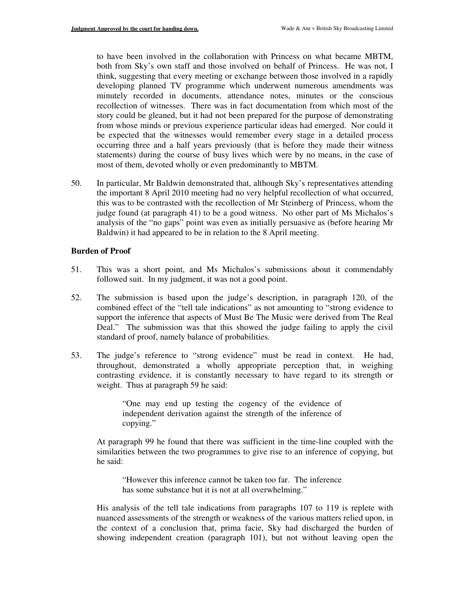to have been involved in the collaboration with Princess on what became MBTM, both from Sky's own staff and those involved on behalf of Princess. He was not, I think, suggesting that every meeting or exchange between those involved in a rapidly developing planned TV programme which underwent numerous amendments was minutely recorded in documents, attendance notes, minutes or the conscious recollection of witnesses. There was in fact documentation from which most of the story could be gleaned, but it had not been prepared for the purpose of demonstrating from whose minds or previous experience particular ideas had emerged. Nor could it be expected that the witnesses would remember every stage in a detailed process occurring three and a half years previously (that is before they made their witness statements) during the course of busy lives which were by no means, in the case of most of them, devoted wholly or even predominantly to MBTM.

50. In particular, Mr Baldwin demonstrated that, although Sky's representatives attending the important 8 April 2010 meeting had no very helpful recollection of what occurred, this was to be contrasted with the recollection of Mr Steinberg of Princess, whom the judge found (at paragraph 41) to be a good witness. No other part of Ms Michalos's analysis of the "no gaps" point was even as initially persuasive as (before hearing Mr Baldwin) it had appeared to be in relation to the 8 April meeting.

#### **Burden of Proof**

- 51. This was a short point, and Ms Michalos's submissions about it commendably followed suit. In my judgment, it was not a good point.
- 52. The submission is based upon the judge's description, in paragraph 120, of the combined effect of the "tell tale indications" as not amounting to "strong evidence to support the inference that aspects of Must Be The Music were derived from The Real Deal." The submission was that this showed the judge failing to apply the civil standard of proof, namely balance of probabilities.
- 53. The judge's reference to "strong evidence" must be read in context. He had, throughout, demonstrated a wholly appropriate perception that, in weighing contrasting evidence, it is constantly necessary to have regard to its strength or weight. Thus at paragraph 59 he said:

"One may end up testing the cogency of the evidence of independent derivation against the strength of the inference of copying."

At paragraph 99 he found that there was sufficient in the time-line coupled with the similarities between the two programmes to give rise to an inference of copying, but he said:

"However this inference cannot be taken too far. The inference has some substance but it is not at all overwhelming."

His analysis of the tell tale indications from paragraphs 107 to 119 is replete with nuanced assessments of the strength or weakness of the various matters relied upon, in the context of a conclusion that, prima facie, Sky had discharged the burden of showing independent creation (paragraph 101), but not without leaving open the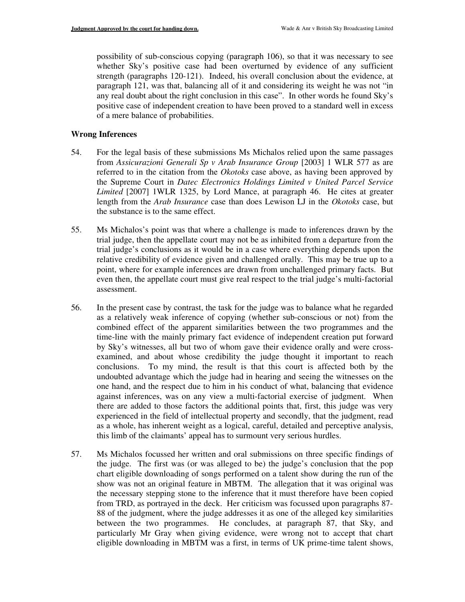possibility of sub-conscious copying (paragraph 106), so that it was necessary to see whether Sky's positive case had been overturned by evidence of any sufficient strength (paragraphs 120-121). Indeed, his overall conclusion about the evidence, at paragraph 121, was that, balancing all of it and considering its weight he was not "in any real doubt about the right conclusion in this case". In other words he found Sky's positive case of independent creation to have been proved to a standard well in excess of a mere balance of probabilities.

## **Wrong Inferences**

- 54. For the legal basis of these submissions Ms Michalos relied upon the same passages from *Assicurazioni Generali Sp v Arab Insurance Group* [2003] 1 WLR 577 as are referred to in the citation from the *Okotoks* case above, as having been approved by the Supreme Court in *Datec Electronics Holdings Limited v United Parcel Service Limited* [2007] 1WLR 1325, by Lord Mance, at paragraph 46. He cites at greater length from the *Arab Insurance* case than does Lewison LJ in the *Okotoks* case, but the substance is to the same effect.
- 55. Ms Michalos's point was that where a challenge is made to inferences drawn by the trial judge, then the appellate court may not be as inhibited from a departure from the trial judge's conclusions as it would be in a case where everything depends upon the relative credibility of evidence given and challenged orally. This may be true up to a point, where for example inferences are drawn from unchallenged primary facts. But even then, the appellate court must give real respect to the trial judge's multi-factorial assessment.
- 56. In the present case by contrast, the task for the judge was to balance what he regarded as a relatively weak inference of copying (whether sub-conscious or not) from the combined effect of the apparent similarities between the two programmes and the time-line with the mainly primary fact evidence of independent creation put forward by Sky's witnesses, all but two of whom gave their evidence orally and were crossexamined, and about whose credibility the judge thought it important to reach conclusions. To my mind, the result is that this court is affected both by the undoubted advantage which the judge had in hearing and seeing the witnesses on the one hand, and the respect due to him in his conduct of what, balancing that evidence against inferences, was on any view a multi-factorial exercise of judgment. When there are added to those factors the additional points that, first, this judge was very experienced in the field of intellectual property and secondly, that the judgment, read as a whole, has inherent weight as a logical, careful, detailed and perceptive analysis, this limb of the claimants' appeal has to surmount very serious hurdles.
- 57. Ms Michalos focussed her written and oral submissions on three specific findings of the judge. The first was (or was alleged to be) the judge's conclusion that the pop chart eligible downloading of songs performed on a talent show during the run of the show was not an original feature in MBTM. The allegation that it was original was the necessary stepping stone to the inference that it must therefore have been copied from TRD, as portrayed in the deck. Her criticism was focussed upon paragraphs 87- 88 of the judgment, where the judge addresses it as one of the alleged key similarities between the two programmes. He concludes, at paragraph 87, that Sky, and particularly Mr Gray when giving evidence, were wrong not to accept that chart eligible downloading in MBTM was a first, in terms of UK prime-time talent shows,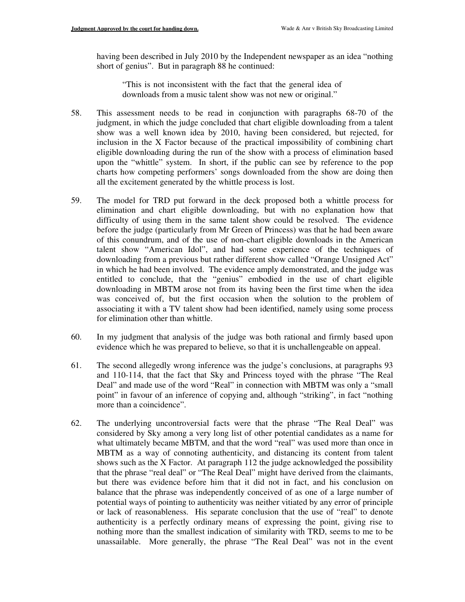having been described in July 2010 by the Independent newspaper as an idea "nothing short of genius". But in paragraph 88 he continued:

"This is not inconsistent with the fact that the general idea of downloads from a music talent show was not new or original."

- 58. This assessment needs to be read in conjunction with paragraphs 68-70 of the judgment, in which the judge concluded that chart eligible downloading from a talent show was a well known idea by 2010, having been considered, but rejected, for inclusion in the X Factor because of the practical impossibility of combining chart eligible downloading during the run of the show with a process of elimination based upon the "whittle" system. In short, if the public can see by reference to the pop charts how competing performers' songs downloaded from the show are doing then all the excitement generated by the whittle process is lost.
- 59. The model for TRD put forward in the deck proposed both a whittle process for elimination and chart eligible downloading, but with no explanation how that difficulty of using them in the same talent show could be resolved. The evidence before the judge (particularly from Mr Green of Princess) was that he had been aware of this conundrum, and of the use of non-chart eligible downloads in the American talent show "American Idol", and had some experience of the techniques of downloading from a previous but rather different show called "Orange Unsigned Act" in which he had been involved. The evidence amply demonstrated, and the judge was entitled to conclude, that the "genius" embodied in the use of chart eligible downloading in MBTM arose not from its having been the first time when the idea was conceived of, but the first occasion when the solution to the problem of associating it with a TV talent show had been identified, namely using some process for elimination other than whittle.
- 60. In my judgment that analysis of the judge was both rational and firmly based upon evidence which he was prepared to believe, so that it is unchallengeable on appeal.
- 61. The second allegedly wrong inference was the judge's conclusions, at paragraphs 93 and 110-114, that the fact that Sky and Princess toyed with the phrase "The Real Deal" and made use of the word "Real" in connection with MBTM was only a "small point" in favour of an inference of copying and, although "striking", in fact "nothing more than a coincidence".
- 62. The underlying uncontroversial facts were that the phrase "The Real Deal" was considered by Sky among a very long list of other potential candidates as a name for what ultimately became MBTM, and that the word "real" was used more than once in MBTM as a way of connoting authenticity, and distancing its content from talent shows such as the X Factor. At paragraph 112 the judge acknowledged the possibility that the phrase "real deal" or "The Real Deal" might have derived from the claimants, but there was evidence before him that it did not in fact, and his conclusion on balance that the phrase was independently conceived of as one of a large number of potential ways of pointing to authenticity was neither vitiated by any error of principle or lack of reasonableness. His separate conclusion that the use of "real" to denote authenticity is a perfectly ordinary means of expressing the point, giving rise to nothing more than the smallest indication of similarity with TRD, seems to me to be unassailable. More generally, the phrase "The Real Deal" was not in the event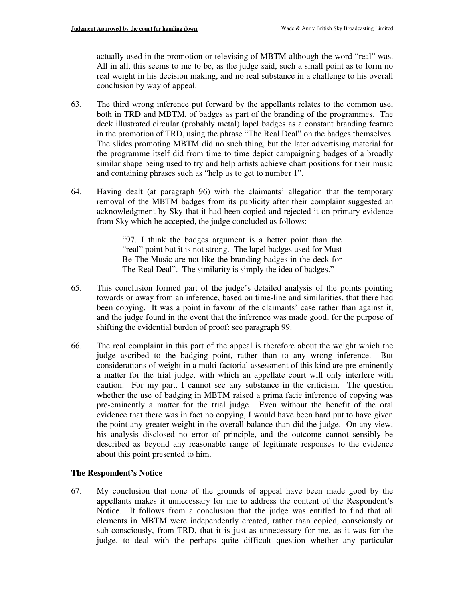actually used in the promotion or televising of MBTM although the word "real" was. All in all, this seems to me to be, as the judge said, such a small point as to form no real weight in his decision making, and no real substance in a challenge to his overall conclusion by way of appeal.

- 63. The third wrong inference put forward by the appellants relates to the common use, both in TRD and MBTM, of badges as part of the branding of the programmes. The deck illustrated circular (probably metal) lapel badges as a constant branding feature in the promotion of TRD, using the phrase "The Real Deal" on the badges themselves. The slides promoting MBTM did no such thing, but the later advertising material for the programme itself did from time to time depict campaigning badges of a broadly similar shape being used to try and help artists achieve chart positions for their music and containing phrases such as "help us to get to number 1".
- 64. Having dealt (at paragraph 96) with the claimants' allegation that the temporary removal of the MBTM badges from its publicity after their complaint suggested an acknowledgment by Sky that it had been copied and rejected it on primary evidence from Sky which he accepted, the judge concluded as follows:

"97. I think the badges argument is a better point than the "real" point but it is not strong. The lapel badges used for Must Be The Music are not like the branding badges in the deck for The Real Deal". The similarity is simply the idea of badges."

- 65. This conclusion formed part of the judge's detailed analysis of the points pointing towards or away from an inference, based on time-line and similarities, that there had been copying. It was a point in favour of the claimants' case rather than against it, and the judge found in the event that the inference was made good, for the purpose of shifting the evidential burden of proof: see paragraph 99.
- 66. The real complaint in this part of the appeal is therefore about the weight which the judge ascribed to the badging point, rather than to any wrong inference. But considerations of weight in a multi-factorial assessment of this kind are pre-eminently a matter for the trial judge, with which an appellate court will only interfere with caution. For my part, I cannot see any substance in the criticism. The question whether the use of badging in MBTM raised a prima facie inference of copying was pre-eminently a matter for the trial judge. Even without the benefit of the oral evidence that there was in fact no copying, I would have been hard put to have given the point any greater weight in the overall balance than did the judge. On any view, his analysis disclosed no error of principle, and the outcome cannot sensibly be described as beyond any reasonable range of legitimate responses to the evidence about this point presented to him.

# **The Respondent's Notice**

67. My conclusion that none of the grounds of appeal have been made good by the appellants makes it unnecessary for me to address the content of the Respondent's Notice. It follows from a conclusion that the judge was entitled to find that all elements in MBTM were independently created, rather than copied, consciously or sub-consciously, from TRD, that it is just as unnecessary for me, as it was for the judge, to deal with the perhaps quite difficult question whether any particular